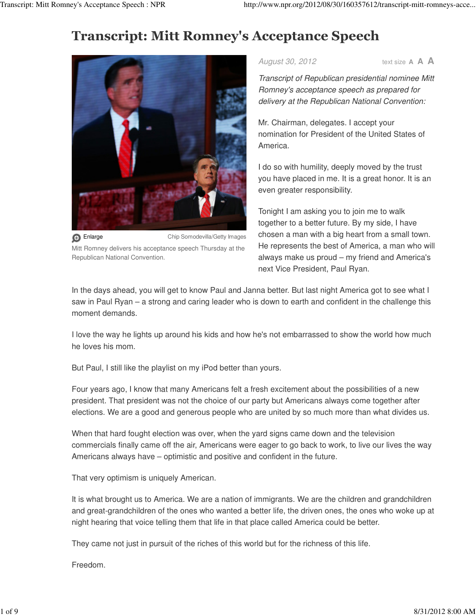## Transcript: Mitt Romney's Acceptance Speech



Enlarge Chip Somodevilla/Getty Images Mitt Romney delivers his acceptance speech Thursday at the Republican National Convention.

## August 30, 2012

text size **<sup>A</sup> A A**

Transcript of Republican presidential nominee Mitt Romney's acceptance speech as prepared for delivery at the Republican National Convention:

Mr. Chairman, delegates. I accept your nomination for President of the United States of America.

I do so with humility, deeply moved by the trust you have placed in me. It is a great honor. It is an even greater responsibility.

Tonight I am asking you to join me to walk together to a better future. By my side, I have chosen a man with a big heart from a small town. He represents the best of America, a man who will always make us proud – my friend and America's next Vice President, Paul Ryan.

In the days ahead, you will get to know Paul and Janna better. But last night America got to see what I saw in Paul Ryan – a strong and caring leader who is down to earth and confident in the challenge this moment demands.

I love the way he lights up around his kids and how he's not embarrassed to show the world how much he loves his mom.

But Paul, I still like the playlist on my iPod better than yours.

Four years ago, I know that many Americans felt a fresh excitement about the possibilities of a new president. That president was not the choice of our party but Americans always come together after elections. We are a good and generous people who are united by so much more than what divides us.

When that hard fought election was over, when the yard signs came down and the television commercials finally came off the air, Americans were eager to go back to work, to live our lives the way Americans always have – optimistic and positive and confident in the future.

That very optimism is uniquely American.

It is what brought us to America. We are a nation of immigrants. We are the children and grandchildren and great-grandchildren of the ones who wanted a better life, the driven ones, the ones who woke up at night hearing that voice telling them that life in that place called America could be better.

They came not just in pursuit of the riches of this world but for the richness of this life.

Freedom.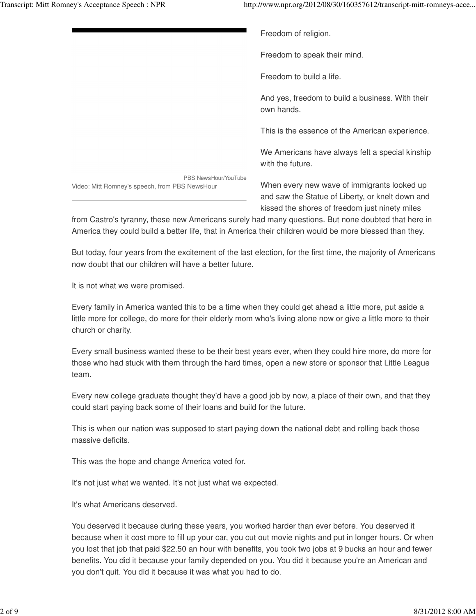Freedom of religion.

Freedom to speak their mind.

Freedom to build a life.

And yes, freedom to build a business. With their own hands.

This is the essence of the American experience.

We Americans have always felt a special kinship with the future.

PBS NewsHour/YouTube Video: Mitt Romney's speech, from PBS NewsHour

When every new wave of immigrants looked up and saw the Statue of Liberty, or knelt down and kissed the shores of freedom just ninety miles

from Castro's tyranny, these new Americans surely had many questions. But none doubted that here in America they could build a better life, that in America their children would be more blessed than they.

But today, four years from the excitement of the last election, for the first time, the majority of Americans now doubt that our children will have a better future.

It is not what we were promised.

Every family in America wanted this to be a time when they could get ahead a little more, put aside a little more for college, do more for their elderly mom who's living alone now or give a little more to their church or charity.

Every small business wanted these to be their best years ever, when they could hire more, do more for those who had stuck with them through the hard times, open a new store or sponsor that Little League team.

Every new college graduate thought they'd have a good job by now, a place of their own, and that they could start paying back some of their loans and build for the future.

This is when our nation was supposed to start paying down the national debt and rolling back those massive deficits.

This was the hope and change America voted for.

It's not just what we wanted. It's not just what we expected.

It's what Americans deserved.

You deserved it because during these years, you worked harder than ever before. You deserved it because when it cost more to fill up your car, you cut out movie nights and put in longer hours. Or when you lost that job that paid \$22.50 an hour with benefits, you took two jobs at 9 bucks an hour and fewer benefits. You did it because your family depended on you. You did it because you're an American and you don't quit. You did it because it was what you had to do.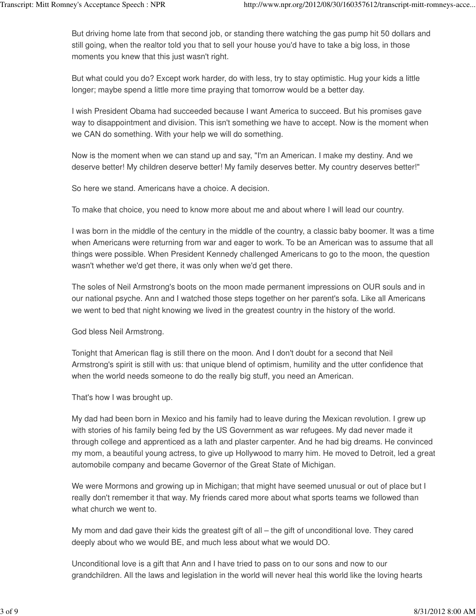But driving home late from that second job, or standing there watching the gas pump hit 50 dollars and still going, when the realtor told you that to sell your house you'd have to take a big loss, in those moments you knew that this just wasn't right.

But what could you do? Except work harder, do with less, try to stay optimistic. Hug your kids a little longer; maybe spend a little more time praying that tomorrow would be a better day.

I wish President Obama had succeeded because I want America to succeed. But his promises gave way to disappointment and division. This isn't something we have to accept. Now is the moment when we CAN do something. With your help we will do something.

Now is the moment when we can stand up and say, "I'm an American. I make my destiny. And we deserve better! My children deserve better! My family deserves better. My country deserves better!"

So here we stand. Americans have a choice. A decision.

To make that choice, you need to know more about me and about where I will lead our country.

I was born in the middle of the century in the middle of the country, a classic baby boomer. It was a time when Americans were returning from war and eager to work. To be an American was to assume that all things were possible. When President Kennedy challenged Americans to go to the moon, the question wasn't whether we'd get there, it was only when we'd get there.

The soles of Neil Armstrong's boots on the moon made permanent impressions on OUR souls and in our national psyche. Ann and I watched those steps together on her parent's sofa. Like all Americans we went to bed that night knowing we lived in the greatest country in the history of the world.

God bless Neil Armstrong.

Tonight that American flag is still there on the moon. And I don't doubt for a second that Neil Armstrong's spirit is still with us: that unique blend of optimism, humility and the utter confidence that when the world needs someone to do the really big stuff, you need an American.

That's how I was brought up.

My dad had been born in Mexico and his family had to leave during the Mexican revolution. I grew up with stories of his family being fed by the US Government as war refugees. My dad never made it through college and apprenticed as a lath and plaster carpenter. And he had big dreams. He convinced my mom, a beautiful young actress, to give up Hollywood to marry him. He moved to Detroit, led a great automobile company and became Governor of the Great State of Michigan.

We were Mormons and growing up in Michigan; that might have seemed unusual or out of place but I really don't remember it that way. My friends cared more about what sports teams we followed than what church we went to.

My mom and dad gave their kids the greatest gift of all – the gift of unconditional love. They cared deeply about who we would BE, and much less about what we would DO.

Unconditional love is a gift that Ann and I have tried to pass on to our sons and now to our grandchildren. All the laws and legislation in the world will never heal this world like the loving hearts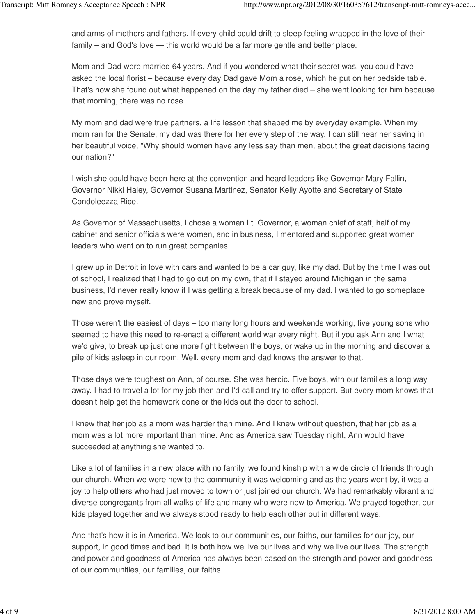and arms of mothers and fathers. If every child could drift to sleep feeling wrapped in the love of their family – and God's love — this world would be a far more gentle and better place.

Mom and Dad were married 64 years. And if you wondered what their secret was, you could have asked the local florist – because every day Dad gave Mom a rose, which he put on her bedside table. That's how she found out what happened on the day my father died – she went looking for him because that morning, there was no rose.

My mom and dad were true partners, a life lesson that shaped me by everyday example. When my mom ran for the Senate, my dad was there for her every step of the way. I can still hear her saying in her beautiful voice, "Why should women have any less say than men, about the great decisions facing our nation?"

I wish she could have been here at the convention and heard leaders like Governor Mary Fallin, Governor Nikki Haley, Governor Susana Martinez, Senator Kelly Ayotte and Secretary of State Condoleezza Rice.

As Governor of Massachusetts, I chose a woman Lt. Governor, a woman chief of staff, half of my cabinet and senior officials were women, and in business, I mentored and supported great women leaders who went on to run great companies.

I grew up in Detroit in love with cars and wanted to be a car guy, like my dad. But by the time I was out of school, I realized that I had to go out on my own, that if I stayed around Michigan in the same business, I'd never really know if I was getting a break because of my dad. I wanted to go someplace new and prove myself.

Those weren't the easiest of days – too many long hours and weekends working, five young sons who seemed to have this need to re-enact a different world war every night. But if you ask Ann and I what we'd give, to break up just one more fight between the boys, or wake up in the morning and discover a pile of kids asleep in our room. Well, every mom and dad knows the answer to that.

Those days were toughest on Ann, of course. She was heroic. Five boys, with our families a long way away. I had to travel a lot for my job then and I'd call and try to offer support. But every mom knows that doesn't help get the homework done or the kids out the door to school.

I knew that her job as a mom was harder than mine. And I knew without question, that her job as a mom was a lot more important than mine. And as America saw Tuesday night, Ann would have succeeded at anything she wanted to.

Like a lot of families in a new place with no family, we found kinship with a wide circle of friends through our church. When we were new to the community it was welcoming and as the years went by, it was a joy to help others who had just moved to town or just joined our church. We had remarkably vibrant and diverse congregants from all walks of life and many who were new to America. We prayed together, our kids played together and we always stood ready to help each other out in different ways.

And that's how it is in America. We look to our communities, our faiths, our families for our joy, our support, in good times and bad. It is both how we live our lives and why we live our lives. The strength and power and goodness of America has always been based on the strength and power and goodness of our communities, our families, our faiths.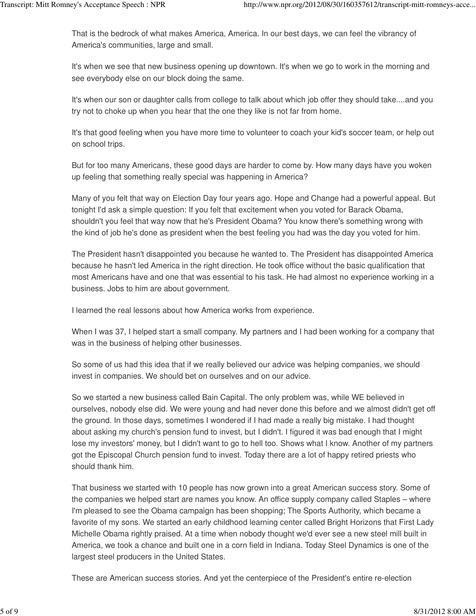That is the bedrock of what makes America, America. In our best days, we can feel the vibrancy of America's communities, large and small.

It's when we see that new business opening up downtown. It's when we go to work in the morning and see everybody else on our block doing the same.

It's when our son or daughter calls from college to talk about which job offer they should take....and you try not to choke up when you hear that the one they like is not far from home.

It's that good feeling when you have more time to volunteer to coach your kid's soccer team, or help out on school trips.

But for too many Americans, these good days are harder to come by. How many days have you woken up feeling that something really special was happening in America?

Many of you felt that way on Election Day four years ago. Hope and Change had a powerful appeal. But tonight I'd ask a simple question: If you felt that excitement when you voted for Barack Obama, shouldn't you feel that way now that he's President Obama? You know there's something wrong with the kind of job he's done as president when the best feeling you had was the day you voted for him.

The President hasn't disappointed you because he wanted to. The President has disappointed America because he hasn't led America in the right direction. He took office without the basic qualification that most Americans have and one that was essential to his task. He had almost no experience working in a business. Jobs to him are about government.

I learned the real lessons about how America works from experience.

When I was 37, I helped start a small company. My partners and I had been working for a company that was in the business of helping other businesses.

So some of us had this idea that if we really believed our advice was helping companies, we should invest in companies. We should bet on ourselves and on our advice.

So we started a new business called Bain Capital. The only problem was, while WE believed in ourselves, nobody else did. We were young and had never done this before and we almost didn't get off the ground. In those days, sometimes I wondered if I had made a really big mistake. I had thought about asking my church's pension fund to invest, but I didn't. I figured it was bad enough that I might lose my investors' money, but I didn't want to go to hell too. Shows what I know. Another of my partners got the Episcopal Church pension fund to invest. Today there are a lot of happy retired priests who should thank him.

That business we started with 10 people has now grown into a great American success story. Some of the companies we helped start are names you know. An office supply company called Staples – where I'm pleased to see the Obama campaign has been shopping; The Sports Authority, which became a favorite of my sons. We started an early childhood learning center called Bright Horizons that First Lady Michelle Obama rightly praised. At a time when nobody thought we'd ever see a new steel mill built in America, we took a chance and built one in a corn field in Indiana. Today Steel Dynamics is one of the largest steel producers in the United States.

These are American success stories. And yet the centerpiece of the President's entire re-election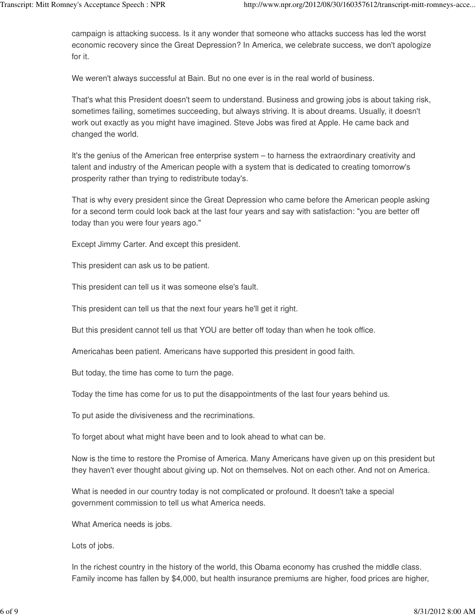campaign is attacking success. Is it any wonder that someone who attacks success has led the worst economic recovery since the Great Depression? In America, we celebrate success, we don't apologize for it.

We weren't always successful at Bain. But no one ever is in the real world of business.

That's what this President doesn't seem to understand. Business and growing jobs is about taking risk, sometimes failing, sometimes succeeding, but always striving. It is about dreams. Usually, it doesn't work out exactly as you might have imagined. Steve Jobs was fired at Apple. He came back and changed the world.

It's the genius of the American free enterprise system – to harness the extraordinary creativity and talent and industry of the American people with a system that is dedicated to creating tomorrow's prosperity rather than trying to redistribute today's.

That is why every president since the Great Depression who came before the American people asking for a second term could look back at the last four years and say with satisfaction: "you are better off today than you were four years ago."

Except Jimmy Carter. And except this president.

This president can ask us to be patient.

This president can tell us it was someone else's fault.

This president can tell us that the next four years he'll get it right.

But this president cannot tell us that YOU are better off today than when he took office.

Americahas been patient. Americans have supported this president in good faith.

But today, the time has come to turn the page.

Today the time has come for us to put the disappointments of the last four years behind us.

To put aside the divisiveness and the recriminations.

To forget about what might have been and to look ahead to what can be.

Now is the time to restore the Promise of America. Many Americans have given up on this president but they haven't ever thought about giving up. Not on themselves. Not on each other. And not on America.

What is needed in our country today is not complicated or profound. It doesn't take a special government commission to tell us what America needs.

What America needs is jobs.

Lots of jobs.

In the richest country in the history of the world, this Obama economy has crushed the middle class. Family income has fallen by \$4,000, but health insurance premiums are higher, food prices are higher,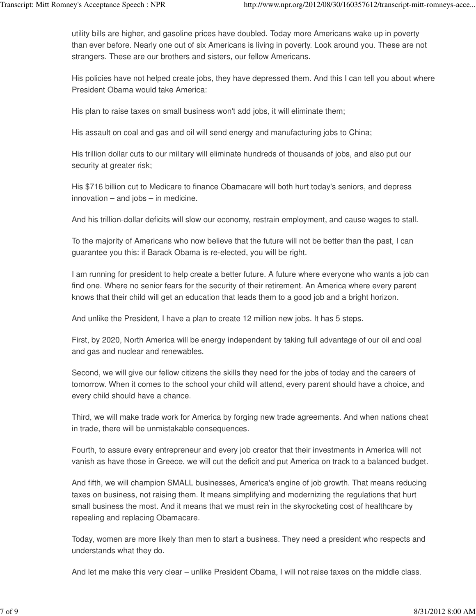utility bills are higher, and gasoline prices have doubled. Today more Americans wake up in poverty than ever before. Nearly one out of six Americans is living in poverty. Look around you. These are not strangers. These are our brothers and sisters, our fellow Americans.

His policies have not helped create jobs, they have depressed them. And this I can tell you about where President Obama would take America:

His plan to raise taxes on small business won't add jobs, it will eliminate them;

His assault on coal and gas and oil will send energy and manufacturing jobs to China;

His trillion dollar cuts to our military will eliminate hundreds of thousands of jobs, and also put our security at greater risk;

His \$716 billion cut to Medicare to finance Obamacare will both hurt today's seniors, and depress innovation – and jobs – in medicine.

And his trillion-dollar deficits will slow our economy, restrain employment, and cause wages to stall.

To the majority of Americans who now believe that the future will not be better than the past, I can guarantee you this: if Barack Obama is re-elected, you will be right.

I am running for president to help create a better future. A future where everyone who wants a job can find one. Where no senior fears for the security of their retirement. An America where every parent knows that their child will get an education that leads them to a good job and a bright horizon.

And unlike the President, I have a plan to create 12 million new jobs. It has 5 steps.

First, by 2020, North America will be energy independent by taking full advantage of our oil and coal and gas and nuclear and renewables.

Second, we will give our fellow citizens the skills they need for the jobs of today and the careers of tomorrow. When it comes to the school your child will attend, every parent should have a choice, and every child should have a chance.

Third, we will make trade work for America by forging new trade agreements. And when nations cheat in trade, there will be unmistakable consequences.

Fourth, to assure every entrepreneur and every job creator that their investments in America will not vanish as have those in Greece, we will cut the deficit and put America on track to a balanced budget.

And fifth, we will champion SMALL businesses, America's engine of job growth. That means reducing taxes on business, not raising them. It means simplifying and modernizing the regulations that hurt small business the most. And it means that we must rein in the skyrocketing cost of healthcare by repealing and replacing Obamacare.

Today, women are more likely than men to start a business. They need a president who respects and understands what they do.

And let me make this very clear – unlike President Obama, I will not raise taxes on the middle class.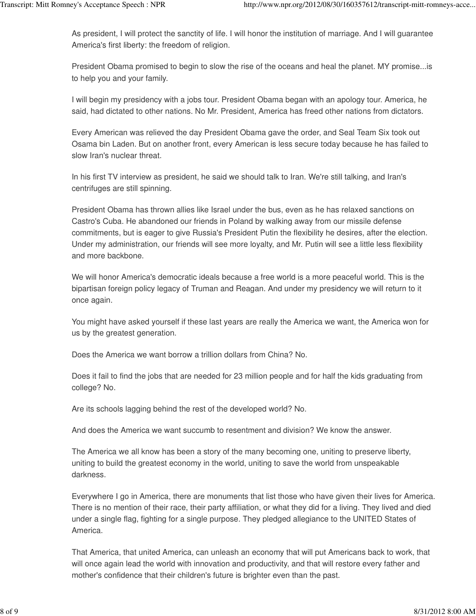As president, I will protect the sanctity of life. I will honor the institution of marriage. And I will guarantee America's first liberty: the freedom of religion.

President Obama promised to begin to slow the rise of the oceans and heal the planet. MY promise...is to help you and your family.

I will begin my presidency with a jobs tour. President Obama began with an apology tour. America, he said, had dictated to other nations. No Mr. President, America has freed other nations from dictators.

Every American was relieved the day President Obama gave the order, and Seal Team Six took out Osama bin Laden. But on another front, every American is less secure today because he has failed to slow Iran's nuclear threat.

In his first TV interview as president, he said we should talk to Iran. We're still talking, and Iran's centrifuges are still spinning.

President Obama has thrown allies like Israel under the bus, even as he has relaxed sanctions on Castro's Cuba. He abandoned our friends in Poland by walking away from our missile defense commitments, but is eager to give Russia's President Putin the flexibility he desires, after the election. Under my administration, our friends will see more loyalty, and Mr. Putin will see a little less flexibility and more backbone.

We will honor America's democratic ideals because a free world is a more peaceful world. This is the bipartisan foreign policy legacy of Truman and Reagan. And under my presidency we will return to it once again.

You might have asked yourself if these last years are really the America we want, the America won for us by the greatest generation.

Does the America we want borrow a trillion dollars from China? No.

Does it fail to find the jobs that are needed for 23 million people and for half the kids graduating from college? No.

Are its schools lagging behind the rest of the developed world? No.

And does the America we want succumb to resentment and division? We know the answer.

The America we all know has been a story of the many becoming one, uniting to preserve liberty, uniting to build the greatest economy in the world, uniting to save the world from unspeakable darkness.

Everywhere I go in America, there are monuments that list those who have given their lives for America. There is no mention of their race, their party affiliation, or what they did for a living. They lived and died under a single flag, fighting for a single purpose. They pledged allegiance to the UNITED States of America.

That America, that united America, can unleash an economy that will put Americans back to work, that will once again lead the world with innovation and productivity, and that will restore every father and mother's confidence that their children's future is brighter even than the past.